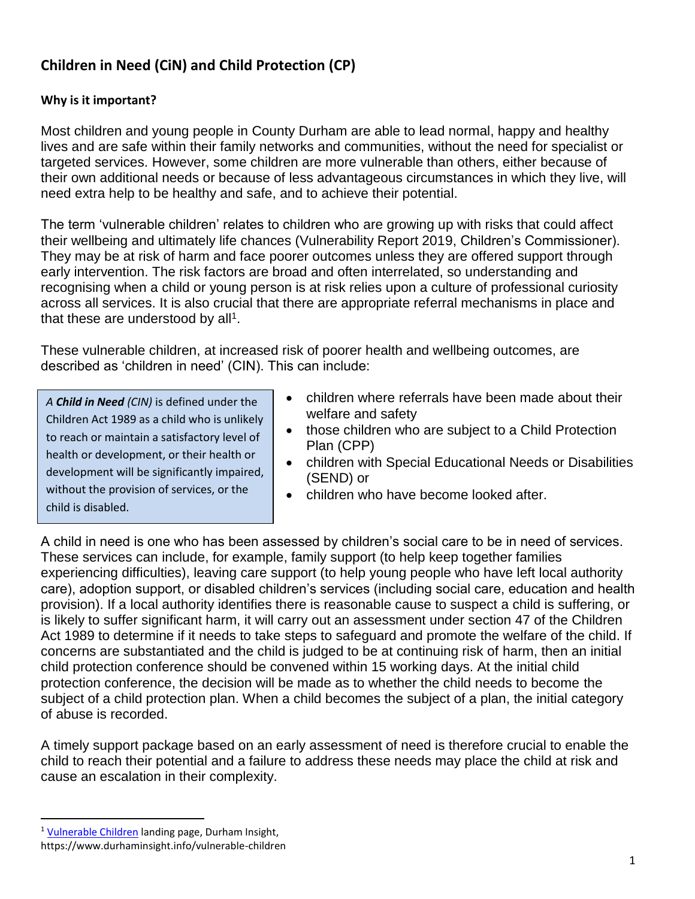# **Children in Need (CiN) and Child Protection (CP)**

### **Why is it important?**

Most children and young people in County Durham are able to lead normal, happy and healthy lives and are safe within their family networks and communities, without the need for specialist or targeted services. However, some children are more vulnerable than others, either because of their own additional needs or because of less advantageous circumstances in which they live, will need extra help to be healthy and safe, and to achieve their potential.

The term 'vulnerable children' relates to children who are growing up with risks that could affect their wellbeing and ultimately life chances (Vulnerability Report 2019, Children's Commissioner). They may be at risk of harm and face poorer outcomes unless they are offered support through early intervention. The risk factors are broad and often interrelated, so understanding and recognising when a child or young person is at risk relies upon a culture of professional curiosity across all services. It is also crucial that there are appropriate referral mechanisms in place and that these are understood by all<sup>1</sup>.

These vulnerable children, at increased risk of poorer health and wellbeing outcomes, are described as 'children in need' (CIN). This can include:

*A Child in Need (CIN)* is defined under the Children Act 1989 as a child who is unlikely to reach or maintain a satisfactory level of health or development, or their health or development will be significantly impaired, without the provision of services, or the child is disabled.

- children where referrals have been made about their welfare and safety
- those children who are subject to a Child Protection Plan (CPP)
- children with Special Educational Needs or Disabilities (SEND) or
- children who have become looked after.

A child in need is one who has been assessed by children's social care to be in need of services. These services can include, for example, family support (to help keep together families experiencing difficulties), leaving care support (to help young people who have left local authority care), adoption support, or disabled children's services (including social care, education and health provision). If a local authority identifies there is reasonable cause to suspect a child is suffering, or is likely to suffer significant harm, it will carry out an assessment under section 47 of the Children Act 1989 to determine if it needs to take steps to safeguard and promote the welfare of the child. If concerns are substantiated and the child is judged to be at continuing risk of harm, then an initial child protection conference should be convened within 15 working days. At the initial child protection conference, the decision will be made as to whether the child needs to become the subiect of a child protection plan. When a child becomes the subject of a plan, the initial category of abuse is recorded.

A timely support package based on an early assessment of need is therefore crucial to enable the child to reach their potential and a failure to address these needs may place the child at risk and cause an escalation in their complexity.

 $\overline{a}$ 

<sup>&</sup>lt;sup>1</sup> [Vulnerable Children](https://www.durhaminsight.info/vulnerable-children/) landing page, Durham Insight,

https://www.durhaminsight.info/vulnerable-children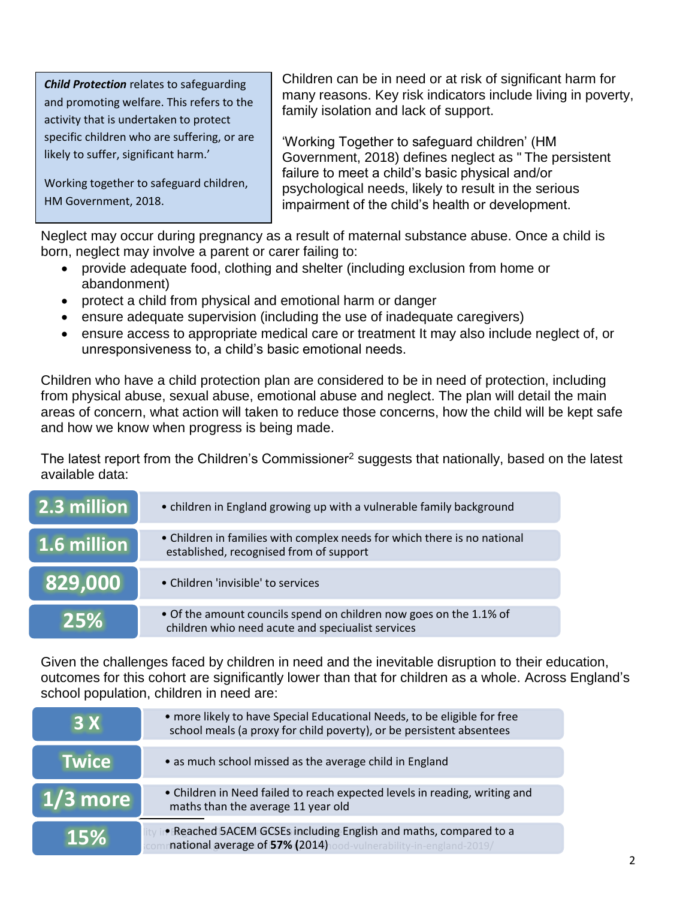*Child Protection* relates to safeguarding and promoting welfare. This refers to the activity that is undertaken to protect specific children who are suffering, or are likely to suffer, significant harm.'

Working together to safeguard children, HM Government, 2018.

Children can be in need or at risk of significant harm for many reasons. Key risk indicators include living in poverty, family isolation and lack of support.

'Working Together to safeguard children' (HM Government, 2018) defines neglect as " The persistent failure to meet a child's basic physical and/or psychological needs, likely to result in the serious impairment of the child's health or development.

Neglect may occur during pregnancy as a result of maternal substance abuse. Once a child is born, neglect may involve a parent or carer failing to:

- provide adequate food, clothing and shelter (including exclusion from home or abandonment)
- protect a child from physical and emotional harm or danger
- ensure adequate supervision (including the use of inadequate caregivers)
- ensure access to appropriate medical care or treatment It may also include neglect of, or unresponsiveness to, a child's basic emotional needs.

Children who have a child protection plan are considered to be in need of protection, including from physical abuse, sexual abuse, emotional abuse and neglect. The plan will detail the main areas of concern, what action will taken to reduce those concerns, how the child will be kept safe and how we know when progress is being made.

The latest report from the Children's Commissioner<sup>2</sup> suggests that nationally, based on the latest available data:

| 2.3 million | • children in England growing up with a vulnerable family background                                                    |
|-------------|-------------------------------------------------------------------------------------------------------------------------|
| 1.6 million | • Children in families with complex needs for which there is no national<br>established, recognised from of support     |
| 829,000     | • Children 'invisible' to services                                                                                      |
| 25%         | • Of the amount councils spend on children now goes on the 1.1% of<br>children whio need acute and speciualist services |

Given the challenges faced by children in need and the inevitable disruption to their education, outcomes for this cohort are significantly lower than that for children as a whole. Across England's school population, children in need are:

| <b>3X</b>    | • more likely to have Special Educational Needs, to be eligible for free<br>school meals (a proxy for child poverty), or be persistent absentees |
|--------------|--------------------------------------------------------------------------------------------------------------------------------------------------|
| <b>Twice</b> | • as much school missed as the average child in England                                                                                          |
| $1/3$ more   | • Children in Need failed to reach expected levels in reading, writing and<br>maths than the average 11 year old                                 |
| <b>15%</b>   | • Reached 5ACEM GCSEs including English and maths, compared to a<br>national average of 57% (2014) lood-vulnerability-in-england-2019/           |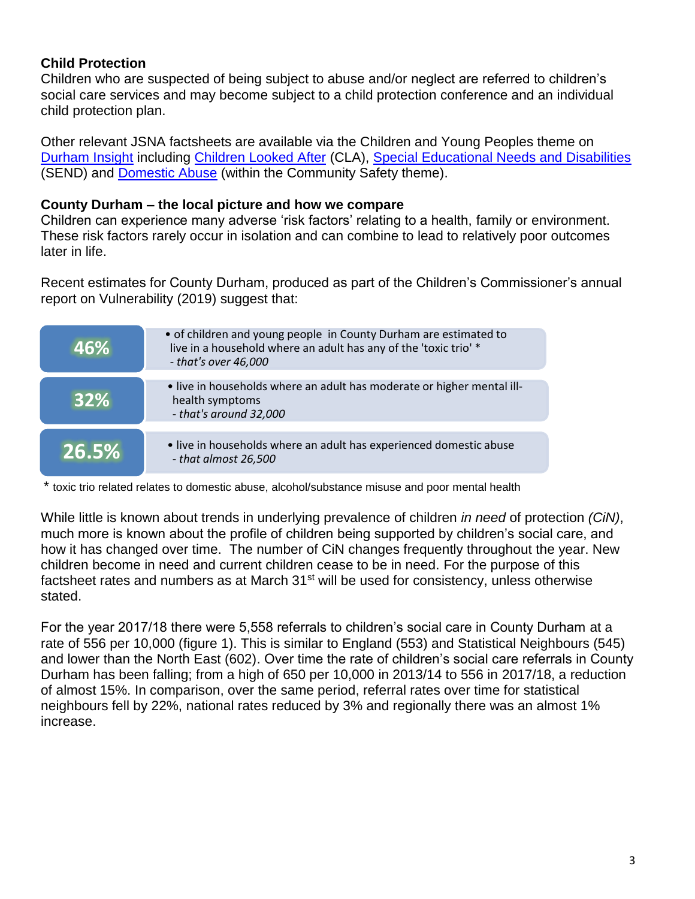## **Child Protection**

Children who are suspected of being subject to abuse and/or neglect are referred to children's social care services and may become subject to a child protection conference and an individual child protection plan.

Other relevant JSNA factsheets are available via the Children and Young Peoples theme on [Durham Insight](http://www.durhaminsight.info/) including [Children Looked After](https://www.durhaminsight.info/jsna/starting-well/looked-after-children/) (CLA), Special [Educational Needs and Disabilities](https://www.durhaminsight.info/jsna/starting-well/send/) (SEND) and [Domestic Abuse](https://www.durhaminsight.info/crime-and-community-safety/related-factsheets-crime-community-safety/domestic-abuse/) (within the Community Safety theme).

#### **County Durham – the local picture and how we compare**

Children can experience many adverse 'risk factors' relating to a health, family or environment. These risk factors rarely occur in isolation and can combine to lead to relatively poor outcomes later in life.

Recent estimates for County Durham, produced as part of the Children's Commissioner's annual report on Vulnerability (2019) suggest that:

| 46%        | • of children and young people in County Durham are estimated to<br>live in a household where an adult has any of the 'toxic trio' *<br>$-$ that's over 46,000 |
|------------|----------------------------------------------------------------------------------------------------------------------------------------------------------------|
| <b>32%</b> | • live in households where an adult has moderate or higher mental ill-<br>health symptoms<br>- that's around 32,000                                            |
| 26.5%      | • live in households where an adult has experienced domestic abuse<br>- that almost 26,500                                                                     |

'\* toxic trio related relates to domestic abuse, alcohol/substance misuse and poor mental health

While little is known about trends in underlying prevalence of children *in need* of protection *(CiN)*, much more is known about the profile of children being supported by children's social care, and how it has changed over time. The number of CiN changes frequently throughout the year. New children become in need and current children cease to be in need. For the purpose of this factsheet rates and numbers as at March  $31<sup>st</sup>$  will be used for consistency, unless otherwise stated.

For the year 2017/18 there were 5,558 referrals to children's social care in County Durham at a rate of 556 per 10,000 (figure 1). This is similar to England (553) and Statistical Neighbours (545) and lower than the North East (602). Over time the rate of children's social care referrals in County Durham has been falling; from a high of 650 per 10,000 in 2013/14 to 556 in 2017/18, a reduction of almost 15%. In comparison, over the same period, referral rates over time for statistical neighbours fell by 22%, national rates reduced by 3% and regionally there was an almost 1% increase.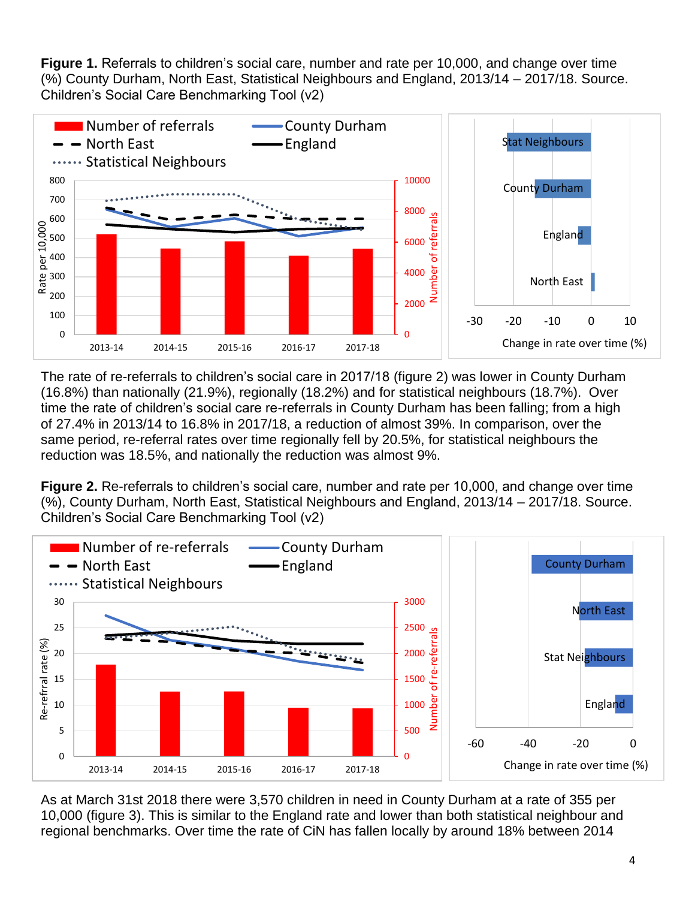**Figure 1.** Referrals to children's social care, number and rate per 10,000, and change over time (%) County Durham, North East, Statistical Neighbours and England, 2013/14 – 2017/18. Source. Children's Social Care Benchmarking Tool (v2)



The rate of re-referrals to children's social care in 2017/18 (figure 2) was lower in County Durham (16.8%) than nationally (21.9%), regionally (18.2%) and for statistical neighbours (18.7%). Over time the rate of children's social care re-referrals in County Durham has been falling; from a high of 27.4% in 2013/14 to 16.8% in 2017/18, a reduction of almost 39%. In comparison, over the same period, re-referral rates over time regionally fell by 20.5%, for statistical neighbours the reduction was 18.5%, and nationally the reduction was almost 9%.

**Figure 2.** Re-referrals to children's social care, number and rate per 10,000, and change over time (%), County Durham, North East, Statistical Neighbours and England, 2013/14 – 2017/18. Source. Children's Social Care Benchmarking Tool (v2)



As at March 31st 2018 there were 3,570 children in need in County Durham at a rate of 355 per 10,000 (figure 3). This is similar to the England rate and lower than both statistical neighbour and regional benchmarks. Over time the rate of CiN has fallen locally by around 18% between 2014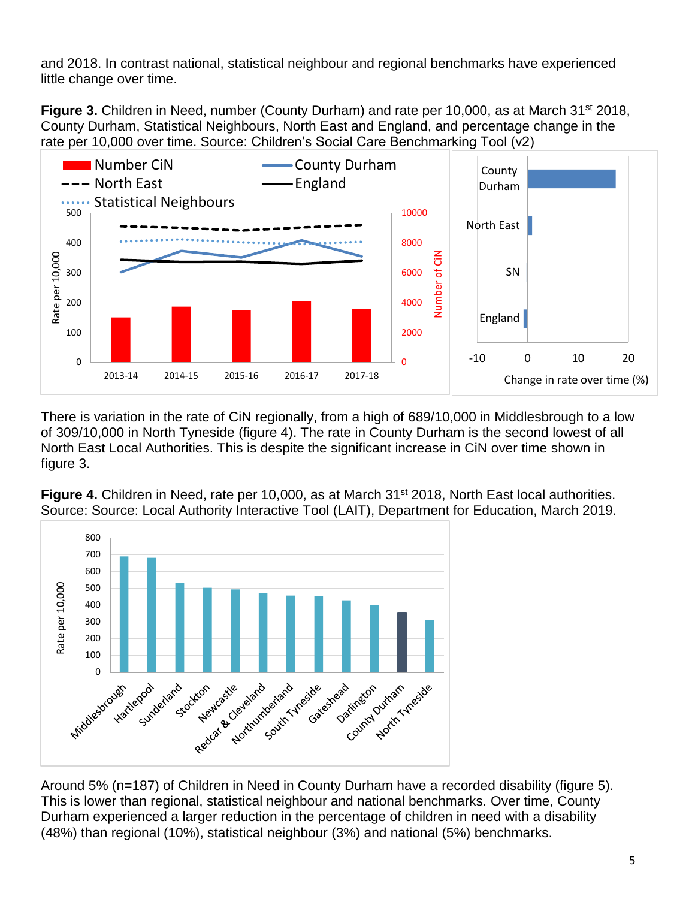and 2018. In contrast national, statistical neighbour and regional benchmarks have experienced little change over time.

**Figure 3.** Children in Need, number (County Durham) and rate per 10,000, as at March 31<sup>st</sup> 2018, County Durham, Statistical Neighbours, North East and England, and percentage change in the rate per 10,000 over time. Source: Children's Social Care Benchmarking Tool (v2)



There is variation in the rate of CiN regionally, from a high of 689/10,000 in Middlesbrough to a low of 309/10,000 in North Tyneside (figure 4). The rate in County Durham is the second lowest of all North East Local Authorities. This is despite the significant increase in CiN over time shown in figure 3.



**Figure 4.** Children in Need, rate per 10,000, as at March 31<sup>st</sup> 2018, North East local authorities. Source: Source: Local Authority Interactive Tool (LAIT), Department for Education, March 2019.

This is lower than regional, statistical neighbour and national benchmarks. Over time, County Durham experienced a larger reduction in the percentage of children in need with a disability (48%) than regional (10%), statistical neighbour (3%) and national (5%) benchmarks.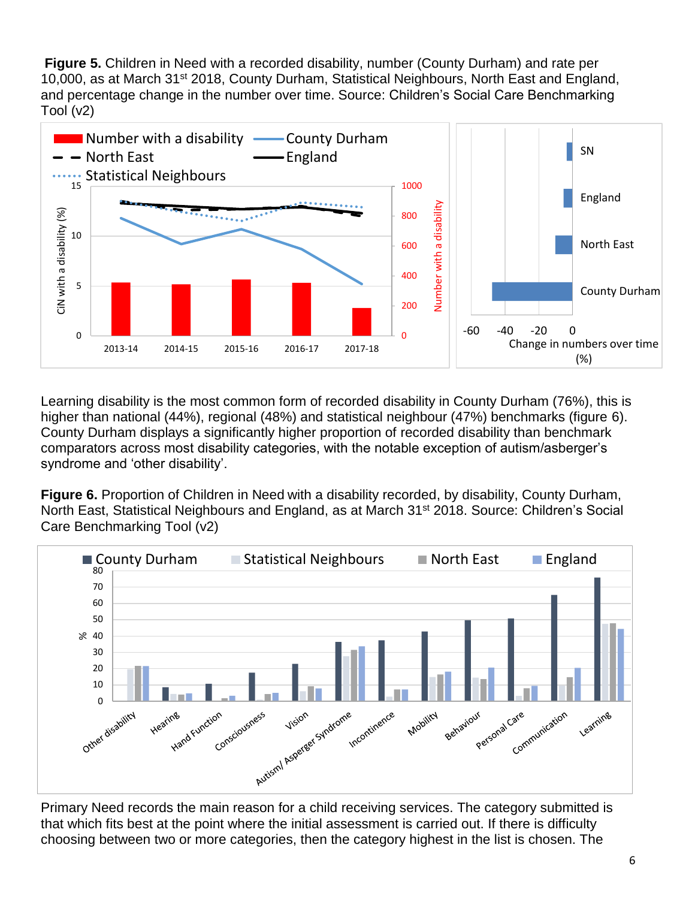**Figure 5.** Children in Need with a recorded disability, number (County Durham) and rate per 10,000, as at March 31<sup>st</sup> 2018, County Durham, Statistical Neighbours, North East and England, and percentage change in the number over time. Source: Children's Social Care Benchmarking Tool (v2)



Learning disability is the most common form of recorded disability in County Durham (76%), this is higher than national (44%), regional (48%) and statistical neighbour (47%) benchmarks (figure 6). County Durham displays a significantly higher proportion of recorded disability than benchmark comparators across most disability categories, with the notable exception of autism/asberger's syndrome and 'other disability'.

**Figure 6.** Proportion of Children in Need with a disability recorded, by disability, County Durham, North East, Statistical Neighbours and England, as at March 31<sup>st</sup> 2018. Source: Children's Social Care Benchmarking Tool (v2)



Primary Need records the main reason for a child receiving services. The category submitted is that which fits best at the point where the initial assessment is carried out. If there is difficulty choosing between two or more categories, then the category highest in the list is chosen. The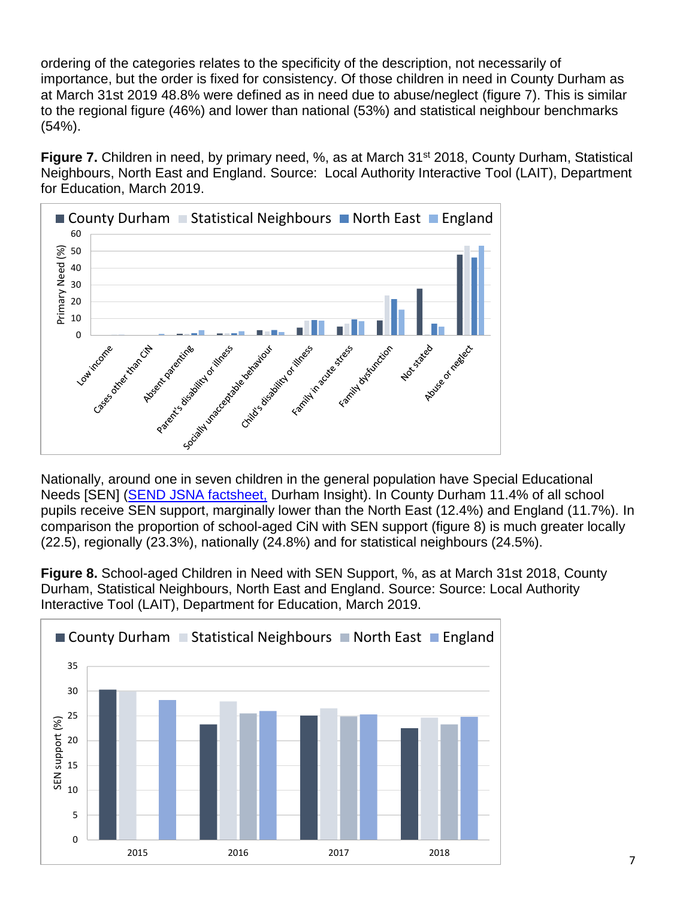ordering of the categories relates to the specificity of the description, not necessarily of importance, but the order is fixed for consistency. Of those children in need in County Durham as at March 31st 2019 48.8% were defined as in need due to abuse/neglect (figure 7). This is similar to the regional figure (46%) and lower than national (53%) and statistical neighbour benchmarks (54%).

**Figure 7.** Children in need, by primary need, %, as at March 31<sup>st</sup> 2018, County Durham, Statistical Neighbours, North East and England. Source: Local Authority Interactive Tool (LAIT), Department for Education, March 2019.



Nationally, around one in seven children in the general population have Special Educational Needs [SEN] [\(SEND JSNA factsheet,](https://www.durhaminsight.info/jsna/starting-well/send/) Durham Insight). In County Durham 11.4% of all school pupils receive SEN support, marginally lower than the North East (12.4%) and England (11.7%). In comparison the proportion of school-aged CiN with SEN support (figure 8) is much greater locally (22.5), regionally (23.3%), nationally (24.8%) and for statistical neighbours (24.5%).

**Figure 8.** School-aged Children in Need with SEN Support, %, as at March 31st 2018, County Durham, Statistical Neighbours, North East and England. Source: Source: Local Authority Interactive Tool (LAIT), Department for Education, March 2019.

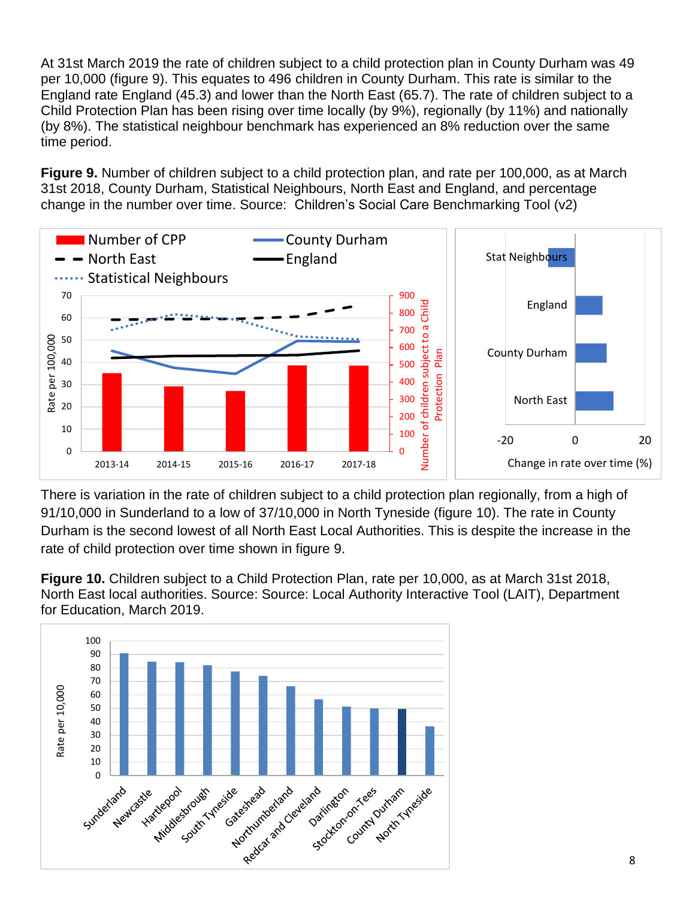At 31st March 2019 the rate of children subject to a child protection plan in County Durham was 49 per 10,000 (figure 9). This equates to 496 children in County Durham. This rate is similar to the England rate England (45.3) and lower than the North East (65.7). The rate of children subject to a Child Protection Plan has been rising over time locally (by 9%), regionally (by 11%) and nationally (by 8%). The statistical neighbour benchmark has experienced an 8% reduction over the same time period.

**Figure 9.** Number of children subject to a child protection plan, and rate per 100,000, as at March 31st 2018, County Durham, Statistical Neighbours, North East and England, and percentage change in the number over time. Source: Children's Social Care Benchmarking Tool (v2)



There is variation in the rate of children subject to a child protection plan regionally, from a high of 91/10,000 in Sunderland to a low of 37/10,000 in North Tyneside (figure 10). The rate in County Durham is the second lowest of all North East Local Authorities. This is despite the increase in the rate of child protection over time shown in figure 9.

**Figure 10.** Children subject to a Child Protection Plan, rate per 10,000, as at March 31st 2018, North East local authorities. Source: Source: Local Authority Interactive Tool (LAIT), Department for Education, March 2019.

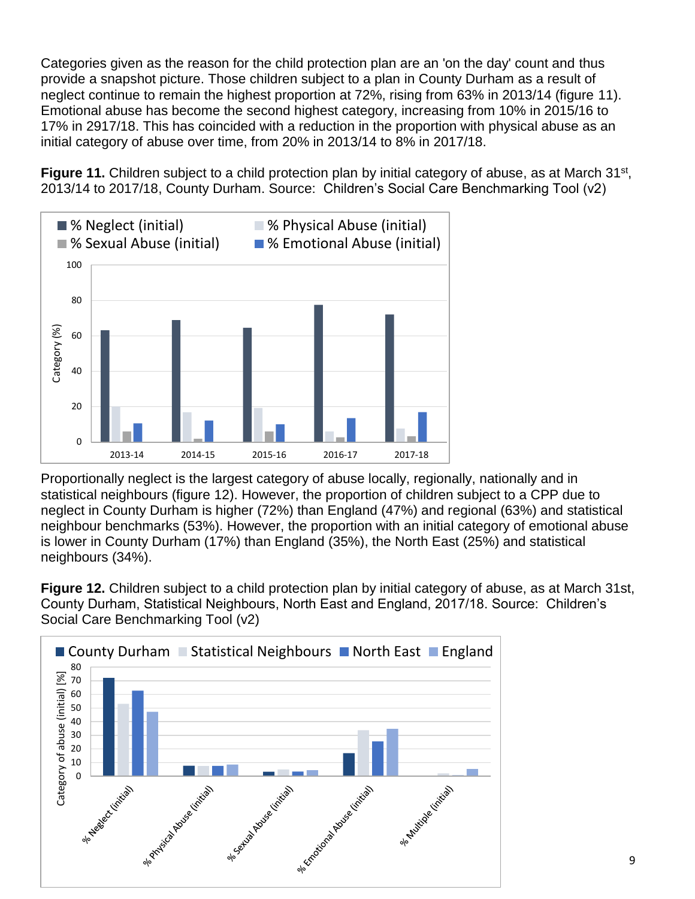Categories given as the reason for the child protection plan are an 'on the day' count and thus provide a snapshot picture. Those children subject to a plan in County Durham as a result of neglect continue to remain the highest proportion at 72%, rising from 63% in 2013/14 (figure 11). Emotional abuse has become the second highest category, increasing from 10% in 2015/16 to 17% in 2917/18. This has coincided with a reduction in the proportion with physical abuse as an initial category of abuse over time, from 20% in 2013/14 to 8% in 2017/18.

Figure 11. Children subject to a child protection plan by initial category of abuse, as at March 31<sup>st</sup>, 2013/14 to 2017/18, County Durham. Source: Children's Social Care Benchmarking Tool (v2)



Proportionally neglect is the largest category of abuse locally, regionally, nationally and in statistical neighbours (figure 12). However, the proportion of children subject to a CPP due to neglect in County Durham is higher (72%) than England (47%) and regional (63%) and statistical neighbour benchmarks (53%). However, the proportion with an initial category of emotional abuse is lower in County Durham (17%) than England (35%), the North East (25%) and statistical neighbours (34%).

**Figure 12.** Children subject to a child protection plan by initial category of abuse, as at March 31st, County Durham, Statistical Neighbours, North East and England, 2017/18. Source: Children's Social Care Benchmarking Tool (v2)

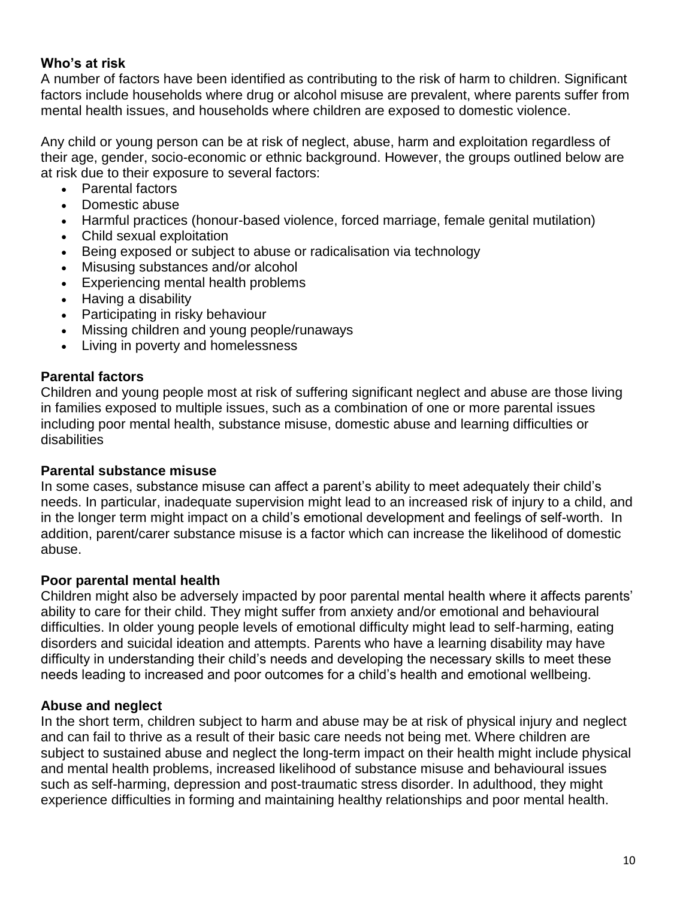### **Who's at risk**

A number of factors have been identified as contributing to the risk of harm to children. Significant factors include households where drug or alcohol misuse are prevalent, where parents suffer from mental health issues, and households where children are exposed to domestic violence.

Any child or young person can be at risk of neglect, abuse, harm and exploitation regardless of their age, gender, socio-economic or ethnic background. However, the groups outlined below are at risk due to their exposure to several factors:

- Parental factors
- Domestic abuse
- Harmful practices (honour-based violence, forced marriage, female genital mutilation)
- Child sexual exploitation
- Being exposed or subject to abuse or radicalisation via technology
- Misusing substances and/or alcohol
- Experiencing mental health problems
- Having a disability
- Participating in risky behaviour
- Missing children and young people/runaways
- Living in poverty and homelessness

#### **Parental factors**

Children and young people most at risk of suffering significant neglect and abuse are those living in families exposed to multiple issues, such as a combination of one or more parental issues including poor mental health, substance misuse, domestic abuse and learning difficulties or disabilities

#### **Parental substance misuse**

In some cases, substance misuse can affect a parent's ability to meet adequately their child's needs. In particular, inadequate supervision might lead to an increased risk of injury to a child, and in the longer term might impact on a child's emotional development and feelings of self-worth. In addition, parent/carer substance misuse is a factor which can increase the likelihood of domestic abuse.

#### **Poor parental mental health**

Children might also be adversely impacted by poor parental mental health where it affects parents' ability to care for their child. They might suffer from anxiety and/or emotional and behavioural difficulties. In older young people levels of emotional difficulty might lead to self-harming, eating disorders and suicidal ideation and attempts. Parents who have a learning disability may have difficulty in understanding their child's needs and developing the necessary skills to meet these needs leading to increased and poor outcomes for a child's health and emotional wellbeing.

## **Abuse and neglect**

In the short term, children subject to harm and abuse may be at risk of physical injury and neglect and can fail to thrive as a result of their basic care needs not being met. Where children are subject to sustained abuse and neglect the long-term impact on their health might include physical and mental health problems, increased likelihood of substance misuse and behavioural issues such as self-harming, depression and post-traumatic stress disorder. In adulthood, they might experience difficulties in forming and maintaining healthy relationships and poor mental health.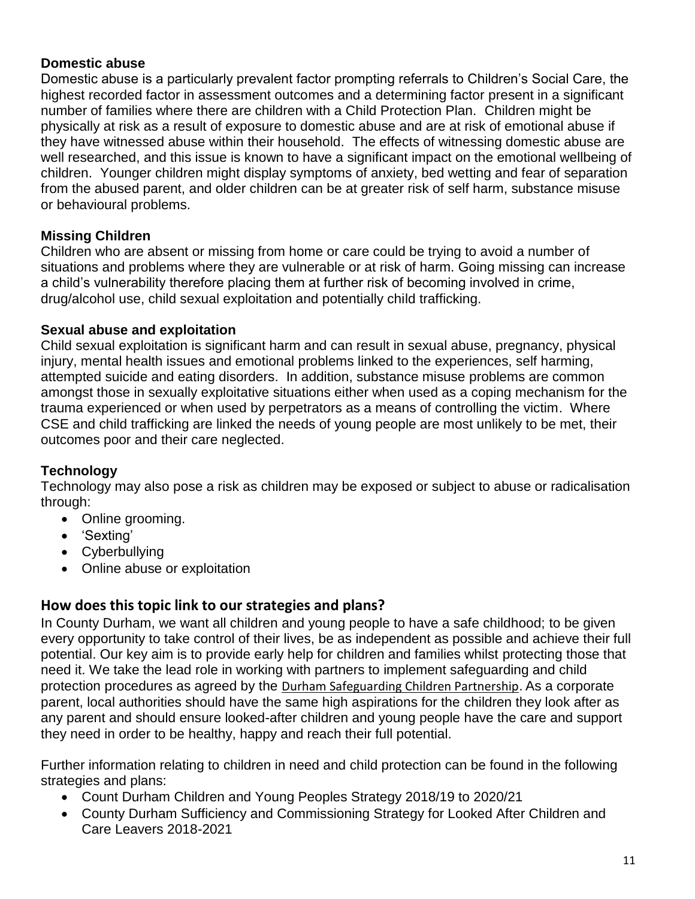## **Domestic abuse**

Domestic abuse is a particularly prevalent factor prompting referrals to Children's Social Care, the highest recorded factor in assessment outcomes and a determining factor present in a significant number of families where there are children with a Child Protection Plan. Children might be physically at risk as a result of exposure to domestic abuse and are at risk of emotional abuse if they have witnessed abuse within their household. The effects of witnessing domestic abuse are well researched, and this issue is known to have a significant impact on the emotional wellbeing of children. Younger children might display symptoms of anxiety, bed wetting and fear of separation from the abused parent, and older children can be at greater risk of self harm, substance misuse or behavioural problems.

# **Missing Children**

Children who are absent or missing from home or care could be trying to avoid a number of situations and problems where they are vulnerable or at risk of harm. Going missing can increase a child's vulnerability therefore placing them at further risk of becoming involved in crime, drug/alcohol use, child sexual exploitation and potentially child trafficking.

## **Sexual abuse and exploitation**

Child sexual exploitation is significant harm and can result in sexual abuse, pregnancy, physical injury, mental health issues and emotional problems linked to the experiences, self harming, attempted suicide and eating disorders. In addition, substance misuse problems are common amongst those in sexually exploitative situations either when used as a coping mechanism for the trauma experienced or when used by perpetrators as a means of controlling the victim. Where CSE and child trafficking are linked the needs of young people are most unlikely to be met, their outcomes poor and their care neglected.

# **Technology**

Technology may also pose a risk as children may be exposed or subject to abuse or radicalisation through:

- Online grooming.
- 'Sexting'
- Cyberbullying
- Online abuse or exploitation

# **How does this topic link to our strategies and plans?**

In County Durham, we want all children and young people to have a safe childhood; to be given every opportunity to take control of their lives, be as independent as possible and achieve their full potential. Our key aim is to provide early help for children and families whilst protecting those that need it. We take the lead role in working with partners to implement safeguarding and child protection procedures as agreed by the [Durham Safeguarding Children Partnership](http://www.durham-scp.org.uk/). As a corporate parent, local authorities should have the same high aspirations for the children they look after as any parent and should ensure looked-after children and young people have the care and support they need in order to be healthy, happy and reach their full potential.

Further information relating to children in need and child protection can be found in the following strategies and plans:

- Count Durham Children and Young Peoples Strategy 2018/19 to 2020/21
- County Durham Sufficiency and Commissioning Strategy for Looked After Children and Care Leavers 2018-2021